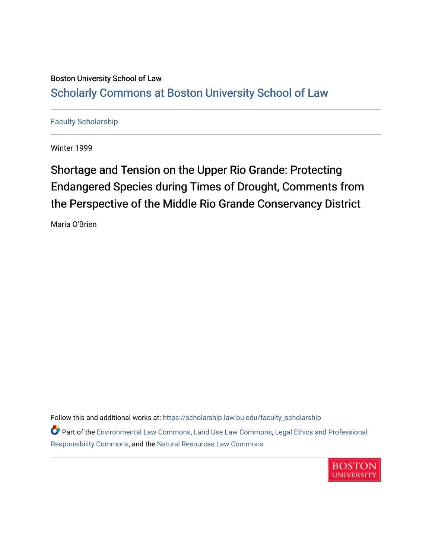### Boston University School of Law [Scholarly Commons at Boston University School of Law](https://scholarship.law.bu.edu/)

### [Faculty Scholarship](https://scholarship.law.bu.edu/faculty_scholarship)

Winter 1999

# Shortage and Tension on the Upper Rio Grande: Protecting Endangered Species during Times of Drought, Comments from the Perspective of the Middle Rio Grande Conservancy District

Maria O'Brien

Follow this and additional works at: [https://scholarship.law.bu.edu/faculty\\_scholarship](https://scholarship.law.bu.edu/faculty_scholarship?utm_source=scholarship.law.bu.edu%2Ffaculty_scholarship%2F2127&utm_medium=PDF&utm_campaign=PDFCoverPages)

Part of the [Environmental Law Commons](https://network.bepress.com/hgg/discipline/599?utm_source=scholarship.law.bu.edu%2Ffaculty_scholarship%2F2127&utm_medium=PDF&utm_campaign=PDFCoverPages), [Land Use Law Commons,](https://network.bepress.com/hgg/discipline/852?utm_source=scholarship.law.bu.edu%2Ffaculty_scholarship%2F2127&utm_medium=PDF&utm_campaign=PDFCoverPages) [Legal Ethics and Professional](https://network.bepress.com/hgg/discipline/895?utm_source=scholarship.law.bu.edu%2Ffaculty_scholarship%2F2127&utm_medium=PDF&utm_campaign=PDFCoverPages) [Responsibility Commons,](https://network.bepress.com/hgg/discipline/895?utm_source=scholarship.law.bu.edu%2Ffaculty_scholarship%2F2127&utm_medium=PDF&utm_campaign=PDFCoverPages) and the [Natural Resources Law Commons](https://network.bepress.com/hgg/discipline/863?utm_source=scholarship.law.bu.edu%2Ffaculty_scholarship%2F2127&utm_medium=PDF&utm_campaign=PDFCoverPages) 

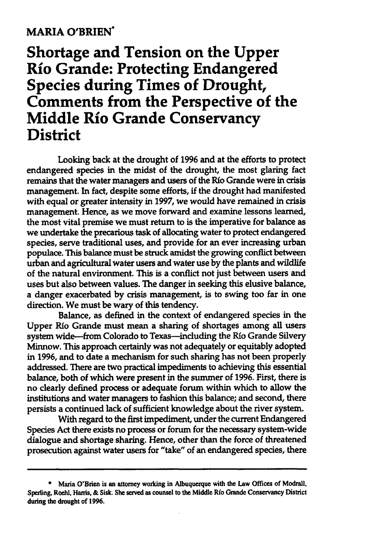#### **MARIA O'BRIEN**

## **Shortage and Tension on the Upper Rio Grande: Protecting Endangered Species during Times of Drought, Comments from the Perspective of the Middle Rio Grande Conservancy District**

Looking back at the drought of **1996** and at the efforts to protect endangered species in the midst of the drought, the most glaring fact remains that the water managers and users of the **Rio** Grande were in crisis management. In fact, despite some efforts, **if** the drought had manifested with equal or greater intensity in **1997,** we would have remained in crisis management. Hence, as we move forward and examine lessons learned, the most vital premise we must return to is the imperative for balance as we undertake the precarious task of allocating water to protect endangered species, serve traditional uses, and provide for an ever increasing urban populace. This balance must be struck amidst the growing conflict between urban and agricultural water users and water use **by** the plants and wildlife of the natural environment. This is a conflict not just between users and uses but also between values. The danger in seeking this elusive balance, a danger exacerbated **by** crisis management, is to swing too far in one direction. We must be wary of this tendency.

Balance, as defined in the context of endangered species in the Upper Rio Grande must mean a sharing of shortages among all users system wide-from Colorado to Texas-including the Río Grande Silvery Minnow. This approach certainly was not adequately or equitably adopted in **1996,** and to date a mechanism for such sharing has not been properly addressed. There are two practical impediments to achieving this essential balance, both of which were present in the summer of **1996.** First, there is no clearly defined process or adequate forum within which to allow the institutions and water managers to fashion this balance; and second, there persists a continued lack of sufficient knowledge about the river system.

With regard to the first impediment, under the current Endangered Species Act there exists no process or forum for the necessary system-wide dialogue and shortage sharing. Hence, other than the force of threatened prosecution against water users for "take" of an endangered species, there

**<sup>\*</sup>** Maria O'Brien is an attorney working in Albuquerque with the Law Offices of Modrall, Sperling, Roehl, Hars, **&** Sisk. **She** served as counsel to the Middle **Rfo** Grande Conservancy District during the drought of **1996.**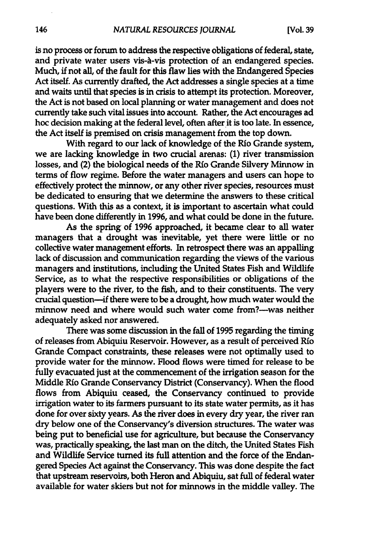is no process or forum to address the respective obligations of federal, state, and private water users vis-A-vis protection of an endangered species. Much, if not all, of the fault for this flaw lies with the Endangered Species Act itself. As currently drafted, the Act addresses a single species at a time and waits until that species is in crisis to attempt its protection. Moreover, the Act is not based on local planning or water management and does not currently take such vital issues into account. Rather, the Act encourages ad hoc decision making at the federal level, often after it is too late. In essence, the Act itself is premised on crisis management from the top down.

With regard to our lack of knowledge of the Rio Grande system, we are lacking knowledge in two crucial arenas: **(1)** river transmission losses, and (2) the biological needs of the Rio Grande Silvery Minnow in terms of flow regime. Before the water managers and users can hope to effectively protect the minnow, or any other river species, resources must be dedicated to ensuring that we determine the answers to these critical questions. With this as a context, it is important to ascertain what could have been done differently in **1996,** and what could be done in the future.

As the spring of **1996** approached, it became clear to all water managers that a drought was inevitable, yet there were little or no collective water management efforts. In retrospect there was an appalling lack of discussion and communication regarding the views of the various managers and institutions, including the United States Fish and Wildlife Service, as to what the respective responsibilities or obligations of the players were to the river, to the fish, and to their constituents. The very crucial question-if there were to be a drought, how much water would the minnow need and where would such water come from?---was neither adequately asked nor answered.

There was some discussion in the fall of **1995** regarding the timing of releases from Abiquiu Reservoir. However, as a result of perceived **Rio** Grande Compact constraints, these releases were not optimally used to provide water for the minnow. Flood flows were timed for release to be fully evacuated just at the commencement of the irrigation season for the Middle Rio Grande Conservancy District (Conservancy). When the flood flows from Abiquiu ceased, the Conservancy continued to provide irrigation water to its farmers pursuant to its state water permits, as it has done for over sixty years. As the river does in every dry year, the river ran dry below one of the Conservancy's diversion structures. The water was being put to beneficial use for agriculture, but because the Conservancy was, practically speaking, the last man on the ditch, the United States Fish and Wildlife Service turned its full attention and the force of the Endangered Species Act against the Conservancy. This was done despite the fact that upstream reservoirs, both Heron and Abiquiu, sat **full** of federal water available for water skiers but not for minnows in the middle valley. The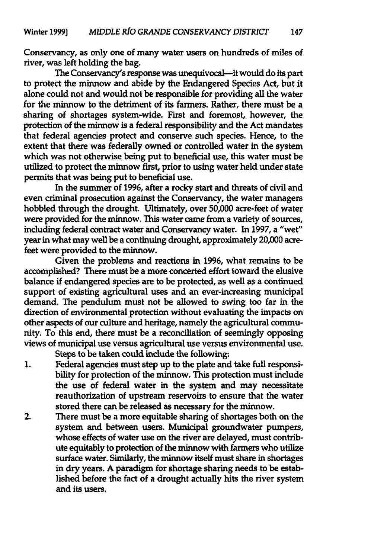Conservancy, as only one of many water users on hundreds of miles of river, was left holding the bag.

The Conservancy's response was unequivocal-it would do its part to protect the minnow and abide **by** the Endangered Species Act, but it alone could not and would not be responsible for providing all the water for the minnow to the detriment of its farmers. Rather, there must be a sharing of shortages system-wide. First and foremost, however, the protection of the minnow is a federal responsibility and the Act mandates that federal agencies protect and conserve such species. Hence, to the extent that there was federally owned or controlled water in the system which was not otherwise being put to beneficial use, this water must be utilized to protect the minnow first, prior to using water held under state permits that was being put to beneficial use.

In the summer of **1996,** after a rocky start and threats of civil and even criminal prosecution against the Conservancy, the water managers hobbled through the drought. Ultimately, over **50,000** acre-feet of water were provided for the minnow. This water came from a variety of sources, including federal contract water and Conservancy water. In **1997,** a "wet" year in what may well be a continuing drought, approximately 20,000 acrefeet were provided to the minnow.

Given the problems and reactions in **1996,** what remains to be accomplished? There must be a more concerted effort toward the elusive balance **if** endangered species are to be protected, as well as a continued support of existing agricultural uses and an ever-increasing municipal demand. The pendulum must not be allowed to swing too far in the direction of environmental protection without evaluating the impacts on other aspects of our culture and heritage, namely the agricultural community. To this end, there must be a reconciliation of seemingly opposing views of municipal use versus agricultural use versus environmental use.

Steps to be taken could include the following:

- **1.** Federal agencies must step up to the plate and take **full** responsibility for protection of the minnow. This protection must include the use of federal water in the system and may necessitate reauthorization of upstream reservoirs to ensure that the water stored there can be released as necessary for the minnow.
- 2. There must be a more equitable sharing of shortages both on the system and between users. Municipal groundwater pumpers, whose effects of water use on the river are delayed, must contribute equitably to protection of the minnow with farmers who utilize surface water. Similarly, the minnow itself must share in shortages in dry years. **A** paradigm for shortage sharing needs to be established before the fact of a drought actually hits the river system and its users.